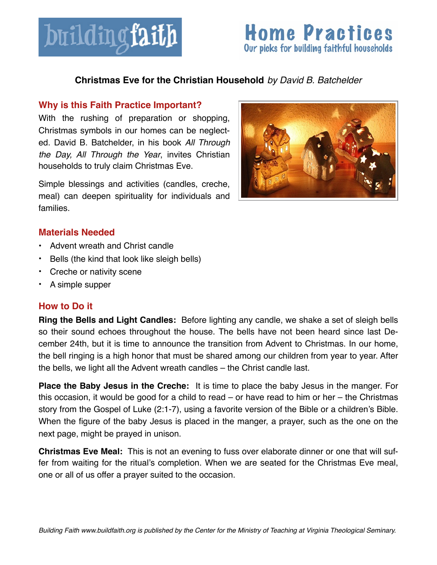

# **Home Practices** Our picks for building faithful households

# **Christmas Eve for the Christian Household** *by David B. Batchelder*

#### **Why is this Faith Practice Important?**

With the rushing of preparation or shopping, Christmas symbols in our homes can be neglected. David B. Batchelder, in his book *All Through the Day, All Through the Year*, invites Christian households to truly claim Christmas Eve.

Simple blessings and activities (candles, creche, meal) can deepen spirituality for individuals and families.



## **Materials Needed**

- Advent wreath and Christ candle
- Bells (the kind that look like sleigh bells)
- Creche or nativity scene
- A simple supper

## **How to Do it**

**Ring the Bells and Light Candles:** Before lighting any candle, we shake a set of sleigh bells so their sound echoes throughout the house. The bells have not been heard since last December 24th, but it is time to announce the transition from Advent to Christmas. In our home, the bell ringing is a high honor that must be shared among our children from year to year. After the bells, we light all the Advent wreath candles – the Christ candle last.

**Place the Baby Jesus in the Creche:** It is time to place the baby Jesus in the manger. For this occasion, it would be good for a child to read – or have read to him or her – the Christmas story from the Gospel of Luke (2:1-7), using a favorite version of the Bible or a children's Bible. When the figure of the baby Jesus is placed in the manger, a prayer, such as the one on the next page, might be prayed in unison.

**Christmas Eve Meal:** This is not an evening to fuss over elaborate dinner or one that will suffer from waiting for the ritual's completion. When we are seated for the Christmas Eve meal, one or all of us offer a prayer suited to the occasion.